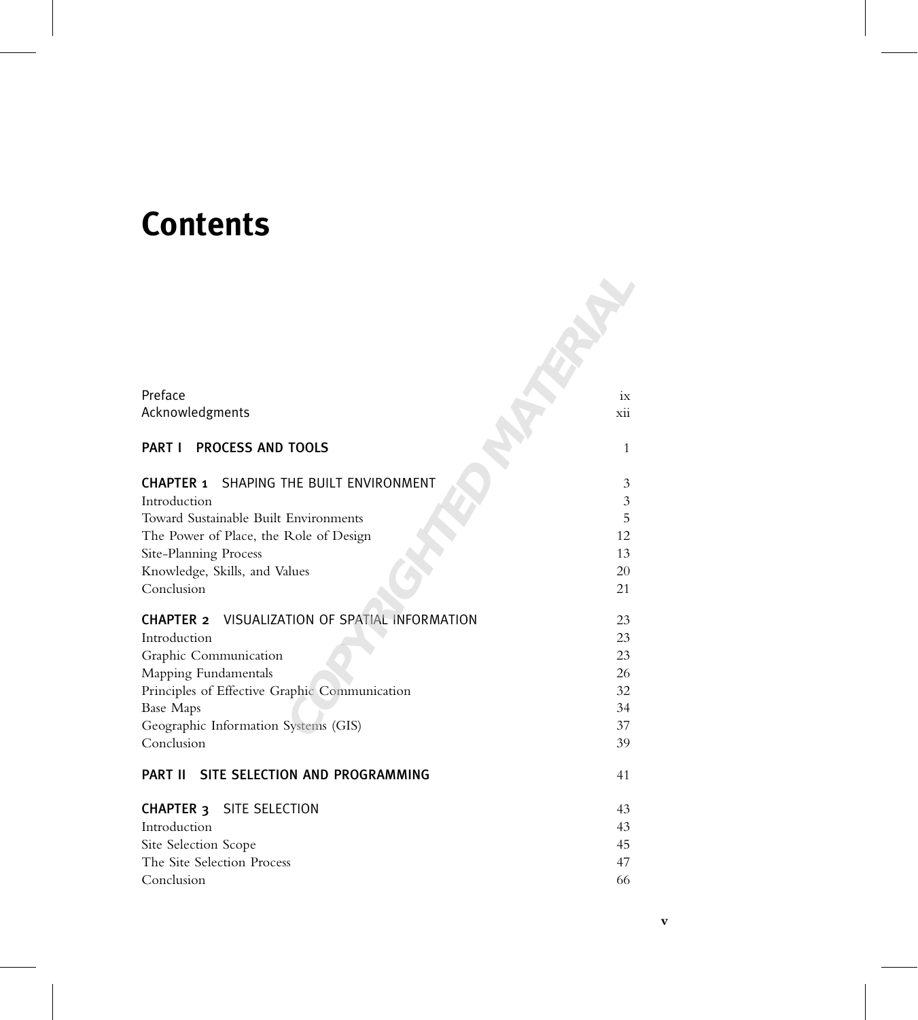## **Contents**

| Preface                                                                  | ix             |
|--------------------------------------------------------------------------|----------------|
| Acknowledgments                                                          | xii            |
| <b>PROCESS AND TOOLS</b><br><b>PART I</b>                                | $\mathbf{1}$   |
| SHAPING THE BUILT ENVIRONMENT<br><b>CHAPTER 1</b>                        | 3              |
| Introduction                                                             | $\mathfrak{Z}$ |
| Toward Sustainable Built Environments                                    | 5              |
| The Power of Place, the Role of Design                                   | 12             |
| Site-Planning Process                                                    | 13             |
| Knowledge, Skills, and Values<br>Conclusion                              | 20<br>21       |
| VISUALIZATION OF SPATIAL INFORMATION<br><b>CHAPTER 2</b><br>Introduction | 23<br>23       |
| Graphic Communication                                                    | 23             |
| Mapping Fundamentals                                                     | 26             |
| Principles of Effective Graphic Communication                            | 32             |
| <b>Base Maps</b>                                                         | 34<br>37       |
| Geographic Information Systems (GIS)<br>Conclusion                       | 39             |
| SITE SELECTION AND PROGRAMMING<br><b>PART II</b>                         | 41             |
| CHAPTER <sub>3</sub><br>SITE SELECTION                                   | 43             |
| Introduction                                                             | 43             |
| Site Selection Scope                                                     | 45             |
| The Site Selection Process                                               | 47             |
| Conclusion                                                               | 66             |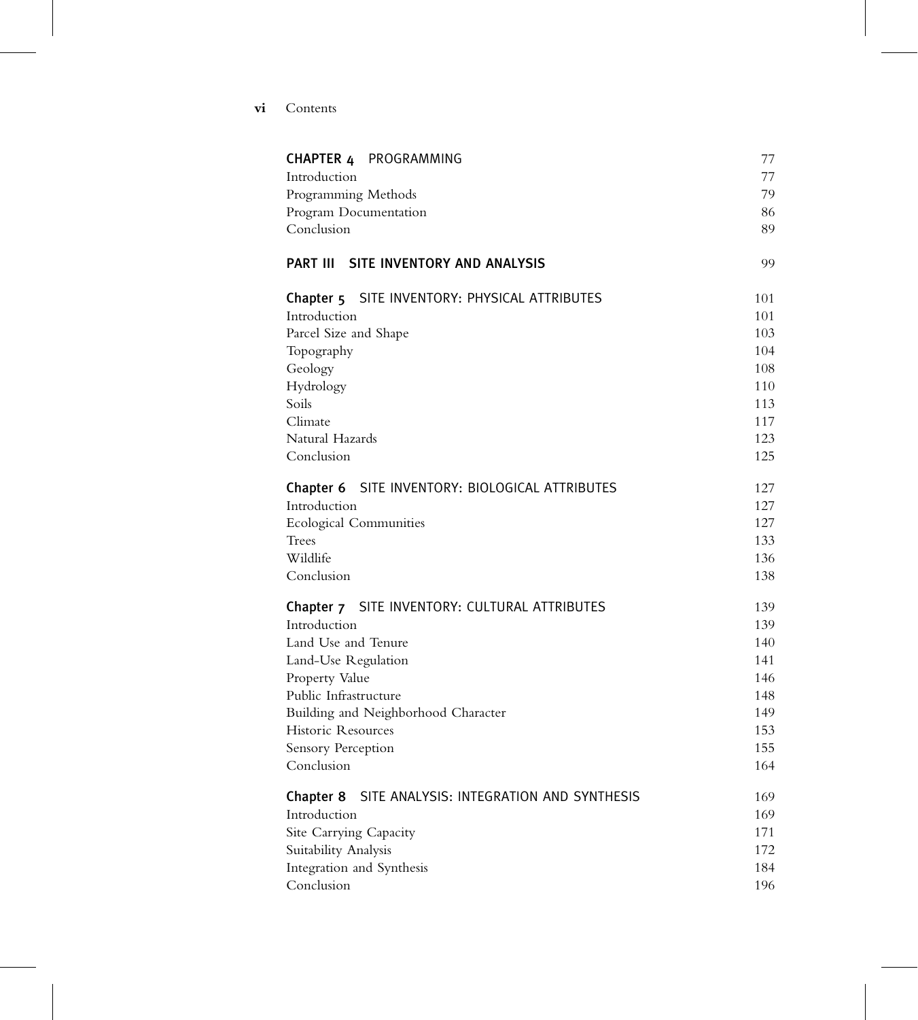| V1 | Contents |
|----|----------|
|    |          |

| <b>CHAPTER 4 PROGRAMMING</b>                          | 77  |
|-------------------------------------------------------|-----|
| Introduction                                          | 77  |
| Programming Methods                                   | 79  |
| Program Documentation                                 | 86  |
| Conclusion                                            | 89  |
| PART III SITE INVENTORY AND ANALYSIS                  | 99  |
| Chapter 5 SITE INVENTORY: PHYSICAL ATTRIBUTES         | 101 |
| Introduction                                          | 101 |
| Parcel Size and Shape                                 | 103 |
| Topography                                            | 104 |
| Geology                                               | 108 |
| Hydrology                                             | 110 |
| Soils                                                 | 113 |
| Climate                                               | 117 |
| Natural Hazards                                       | 123 |
| Conclusion                                            | 125 |
| SITE INVENTORY: BIOLOGICAL ATTRIBUTES<br>Chapter 6    | 127 |
| Introduction                                          | 127 |
| <b>Ecological Communities</b>                         | 127 |
| Trees                                                 | 133 |
| Wildlife                                              | 136 |
| Conclusion                                            | 138 |
| Chapter 7 SITE INVENTORY: CULTURAL ATTRIBUTES         | 139 |
| Introduction                                          | 139 |
| Land Use and Tenure                                   | 140 |
| Land-Use Regulation                                   | 141 |
| Property Value                                        | 146 |
| Public Infrastructure                                 | 148 |
| Building and Neighborhood Character                   | 149 |
| Historic Resources                                    | 153 |
| Sensory Perception                                    | 155 |
| Conclusion                                            | 164 |
| SITE ANALYSIS: INTEGRATION AND SYNTHESIS<br>Chapter 8 | 169 |
| Introduction                                          | 169 |
| Site Carrying Capacity                                | 171 |
| Suitability Analysis                                  | 172 |
| Integration and Synthesis                             | 184 |
| Conclusion                                            | 196 |